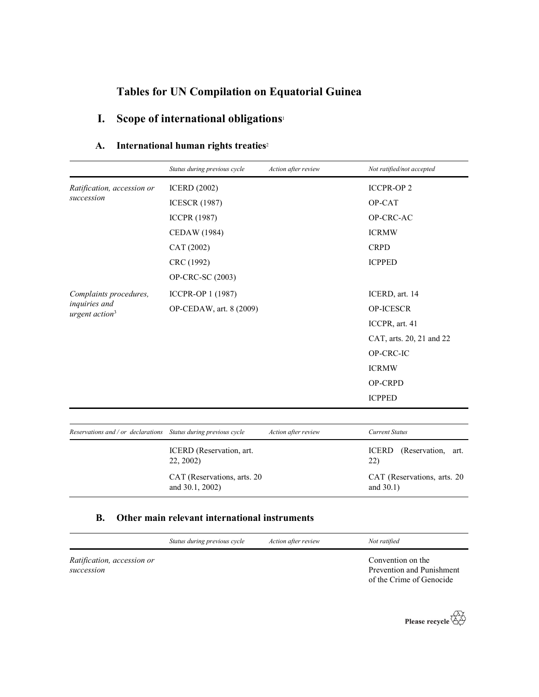# Tables for UN Compilation on Equatorial Guinea

# I. Scope of international obligations<sup>1</sup>

## A. International human rights treaties<sup>2</sup>

|                                          | Status during previous cycle | Action after review | Not ratified/not accepted             |
|------------------------------------------|------------------------------|---------------------|---------------------------------------|
| Ratification, accession or<br>succession | <b>ICERD</b> (2002)          |                     | <b>ICCPR-OP2</b>                      |
|                                          | <b>ICESCR (1987)</b>         |                     | OP-CAT                                |
|                                          | <b>ICCPR (1987)</b>          |                     | OP-CRC-AC                             |
|                                          | <b>CEDAW</b> (1984)          |                     | <b>ICRMW</b>                          |
|                                          | CAT (2002)                   |                     | <b>CRPD</b>                           |
|                                          | CRC (1992)                   |                     | <b>ICPPED</b>                         |
|                                          | OP-CRC-SC (2003)             |                     |                                       |
| Complaints procedures,                   | ICCPR-OP 1 (1987)            |                     | ICERD, art. 14                        |
| inquiries and                            | OP-CEDAW, art. 8 (2009)      |                     | <b>OP-ICESCR</b>                      |
| urgent action <sup>3</sup>               |                              |                     | ICCPR, art. 41                        |
|                                          |                              |                     | CAT, arts. 20, 21 and 22              |
|                                          |                              |                     | OP-CRC-IC                             |
|                                          |                              |                     | <b>ICRMW</b>                          |
|                                          |                              |                     | OP-CRPD                               |
|                                          |                              |                     | <b>ICPPED</b>                         |
|                                          |                              |                     |                                       |
| Reservations and / or declarations       | Status during previous cycle | Action after review | <b>Current Status</b>                 |
|                                          | ICERD (Reservation, art.     |                     | <b>ICERD</b><br>(Reservation,<br>art. |

22, 2002) 22) CAT (Reservations, arts. 20 and 30.1, 2002) CAT (Reservations, arts. 20 and 30.1)

### B. Other main relevant international instruments

| Action after review          | Not ratified                                                               |
|------------------------------|----------------------------------------------------------------------------|
|                              | Convention on the<br>Prevention and Punishment<br>of the Crime of Genocide |
| Status during previous cycle |                                                                            |

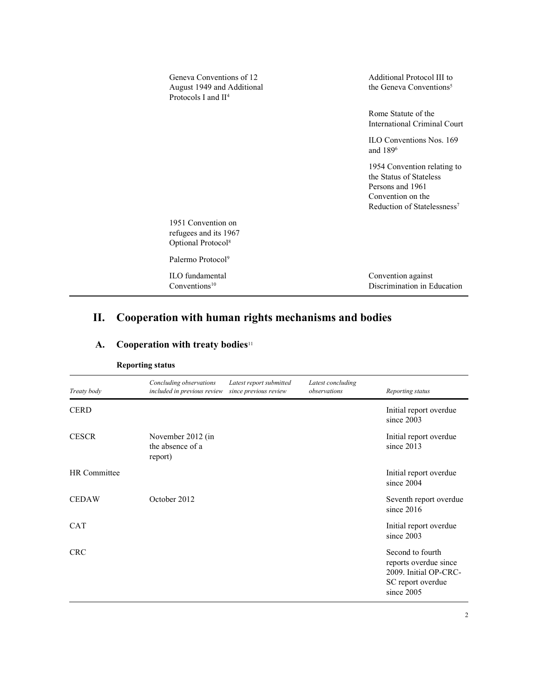| Geneva Conventions of 12<br>August 1949 and Additional<br>Protocols I and $II4$ | Additional Protocol III to<br>the Geneva Conventions <sup>5</sup>                                                                          |
|---------------------------------------------------------------------------------|--------------------------------------------------------------------------------------------------------------------------------------------|
|                                                                                 | Rome Statute of the<br>International Criminal Court                                                                                        |
|                                                                                 | ILO Conventions Nos. 169<br>and 189 <sup>6</sup>                                                                                           |
|                                                                                 | 1954 Convention relating to<br>the Status of Stateless<br>Persons and 1961<br>Convention on the<br>Reduction of Statelessness <sup>7</sup> |
| 1951 Convention on<br>refugees and its 1967<br>Optional Protocol <sup>8</sup>   |                                                                                                                                            |
| Palermo Protocol <sup>9</sup>                                                   |                                                                                                                                            |
| ILO fundamental<br>Conventions $10$                                             | Convention against<br>Discrimination in Education                                                                                          |

# II. Cooperation with human rights mechanisms and bodies

| Treaty body  | Concluding observations<br>included in previous review | Latest report submitted<br>since previous review | Latest concluding<br>observations | Reporting status                                                                                      |
|--------------|--------------------------------------------------------|--------------------------------------------------|-----------------------------------|-------------------------------------------------------------------------------------------------------|
| <b>CERD</b>  |                                                        |                                                  |                                   | Initial report overdue<br>since 2003                                                                  |
| <b>CESCR</b> | November 2012 (in<br>the absence of a<br>report)       |                                                  |                                   | Initial report overdue<br>since 2013                                                                  |
| HR Committee |                                                        |                                                  |                                   | Initial report overdue<br>since 2004                                                                  |
| <b>CEDAW</b> | October 2012                                           |                                                  |                                   | Seventh report overdue<br>since $2016$                                                                |
| <b>CAT</b>   |                                                        |                                                  |                                   | Initial report overdue<br>since 2003                                                                  |
| <b>CRC</b>   |                                                        |                                                  |                                   | Second to fourth<br>reports overdue since<br>2009. Initial OP-CRC-<br>SC report overdue<br>since 2005 |

# A. Cooperation with treaty bodies<sup>11</sup>

Reporting status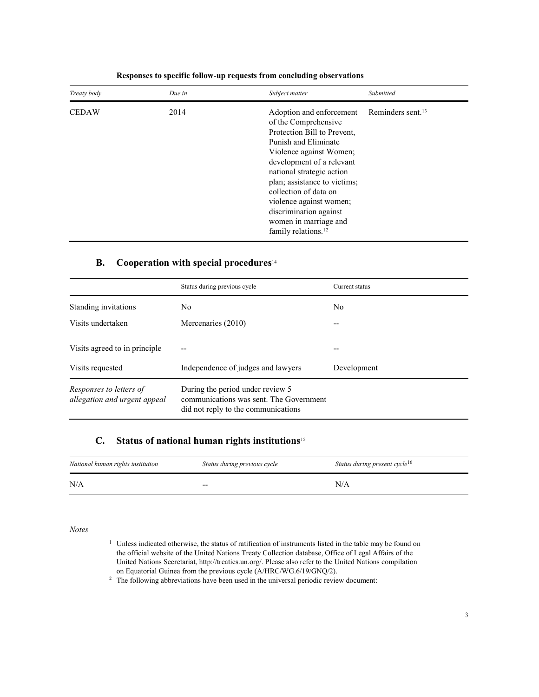| Treaty body  | Due in | Subject matter                                                                                                                                                                                                                                                                                                                                                         | Submitted                     |
|--------------|--------|------------------------------------------------------------------------------------------------------------------------------------------------------------------------------------------------------------------------------------------------------------------------------------------------------------------------------------------------------------------------|-------------------------------|
| <b>CEDAW</b> | 2014   | Adoption and enforcement<br>of the Comprehensive<br>Protection Bill to Prevent,<br>Punish and Eliminate<br>Violence against Women;<br>development of a relevant<br>national strategic action<br>plan; assistance to victims;<br>collection of data on<br>violence against women;<br>discrimination against<br>women in marriage and<br>family relations. <sup>12</sup> | Reminders sent. <sup>13</sup> |

#### Responses to specific follow-up requests from concluding observations

#### B. Cooperation with special procedures $14$

|                                                         | Status during previous cycle                                                                                       | Current status |
|---------------------------------------------------------|--------------------------------------------------------------------------------------------------------------------|----------------|
| Standing invitations                                    | No.                                                                                                                | No             |
| Visits undertaken                                       | Mercenaries (2010)                                                                                                 | --             |
| Visits agreed to in principle                           |                                                                                                                    |                |
| Visits requested                                        | Independence of judges and lawyers                                                                                 | Development    |
| Responses to letters of<br>allegation and urgent appeal | During the period under review 5<br>communications was sent. The Government<br>did not reply to the communications |                |

### C. Status of national human rights institutions<sup>15</sup>

| National human rights institution | Status during previous cycle | Status during present cycle <sup>16</sup> |
|-----------------------------------|------------------------------|-------------------------------------------|
| N/A                               | $- -$                        | N/A                                       |

Notes

- <sup>1</sup> Unless indicated otherwise, the status of ratification of instruments listed in the table may be found on the official website of the United Nations Treaty Collection database, Office of Legal Affairs of the United Nations Secretariat, http://treaties.un.org/. Please also refer to the United Nations compilation on Equatorial Guinea from the previous cycle (A/HRC/WG.6/19/GNQ/2).
- $2$  The following abbreviations have been used in the universal periodic review document: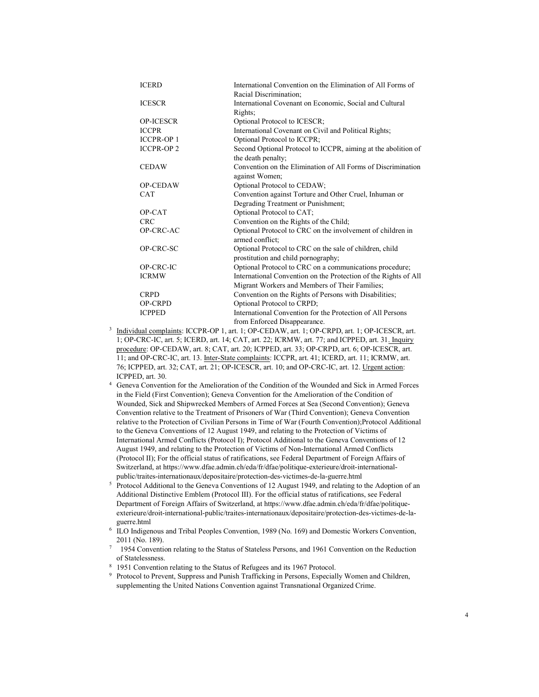| <b>ICERD</b>      | International Convention on the Elimination of All Forms of     |
|-------------------|-----------------------------------------------------------------|
|                   | Racial Discrimination;                                          |
| <b>ICESCR</b>     | International Covenant on Economic, Social and Cultural         |
|                   | Rights;                                                         |
| <b>OP-ICESCR</b>  | Optional Protocol to ICESCR;                                    |
| <b>ICCPR</b>      | International Covenant on Civil and Political Rights;           |
| <b>ICCPR-OP1</b>  | Optional Protocol to ICCPR;                                     |
| <b>ICCPR-OP 2</b> | Second Optional Protocol to ICCPR, aiming at the abolition of   |
|                   | the death penalty;                                              |
| <b>CEDAW</b>      | Convention on the Elimination of All Forms of Discrimination    |
|                   | against Women;                                                  |
| OP-CEDAW          | Optional Protocol to CEDAW;                                     |
| <b>CAT</b>        | Convention against Torture and Other Cruel, Inhuman or          |
|                   | Degrading Treatment or Punishment;                              |
| OP-CAT            | Optional Protocol to CAT;                                       |
| <b>CRC</b>        | Convention on the Rights of the Child;                          |
| OP-CRC-AC         | Optional Protocol to CRC on the involvement of children in      |
|                   | armed conflict;                                                 |
| OP-CRC-SC         | Optional Protocol to CRC on the sale of children, child         |
|                   | prostitution and child pornography;                             |
| OP-CRC-IC         | Optional Protocol to CRC on a communications procedure;         |
| <b>ICRMW</b>      | International Convention on the Protection of the Rights of All |
|                   | Migrant Workers and Members of Their Families;                  |
| <b>CRPD</b>       | Convention on the Rights of Persons with Disabilities;          |
| OP-CRPD           | Optional Protocol to CRPD;                                      |
| <b>ICPPED</b>     | International Convention for the Protection of All Persons      |
|                   | from Enforced Disappearance.                                    |

- <sup>3</sup> Individual complaints: ICCPR-OP 1, art. 1; OP-CEDAW, art. 1; OP-CRPD, art. 1; OP-ICESCR, art. 1; OP-CRC-IC, art. 5; ICERD, art. 14; CAT, art. 22; ICRMW, art. 77; and ICPPED, art. 31. Inquiry procedure: OP-CEDAW, art. 8; CAT, art. 20; ICPPED, art. 33; OP-CRPD, art. 6; OP-ICESCR, art. 11; and OP-CRC-IC, art. 13. Inter-State complaints: ICCPR, art. 41; ICERD, art. 11; ICRMW, art. 76; ICPPED, art. 32; CAT, art. 21; OP-ICESCR, art. 10; and OP-CRC-IC, art. 12. Urgent action: ICPPED, art. 30.
- 4 Geneva Convention for the Amelioration of the Condition of the Wounded and Sick in Armed Forces in the Field (First Convention); Geneva Convention for the Amelioration of the Condition of Wounded, Sick and Shipwrecked Members of Armed Forces at Sea (Second Convention); Geneva Convention relative to the Treatment of Prisoners of War (Third Convention); Geneva Convention relative to the Protection of Civilian Persons in Time of War (Fourth Convention);Protocol Additional to the Geneva Conventions of 12 August 1949, and relating to the Protection of Victims of International Armed Conflicts (Protocol I); Protocol Additional to the Geneva Conventions of 12 August 1949, and relating to the Protection of Victims of Non-International Armed Conflicts (Protocol II); For the official status of ratifications, see Federal Department of Foreign Affairs of Switzerland, at https://www.dfae.admin.ch/eda/fr/dfae/politique-exterieure/droit-internationalpublic/traites-internationaux/depositaire/protection-des-victimes-de-la-guerre.html
- <sup>5</sup> Protocol Additional to the Geneva Conventions of 12 August 1949, and relating to the Adoption of an Additional Distinctive Emblem (Protocol III). For the official status of ratifications, see Federal Department of Foreign Affairs of Switzerland, at https://www.dfae.admin.ch/eda/fr/dfae/politiqueexterieure/droit-international-public/traites-internationaux/depositaire/protection-des-victimes-de-laguerre.html
- 6 ILO Indigenous and Tribal Peoples Convention, 1989 (No. 169) and Domestic Workers Convention, 2011 (No. 189).
- 7 1954 Convention relating to the Status of Stateless Persons, and 1961 Convention on the Reduction of Statelessness.
- <sup>8</sup> 1951 Convention relating to the Status of Refugees and its 1967 Protocol.
- 9 Protocol to Prevent, Suppress and Punish Trafficking in Persons, Especially Women and Children, supplementing the United Nations Convention against Transnational Organized Crime.